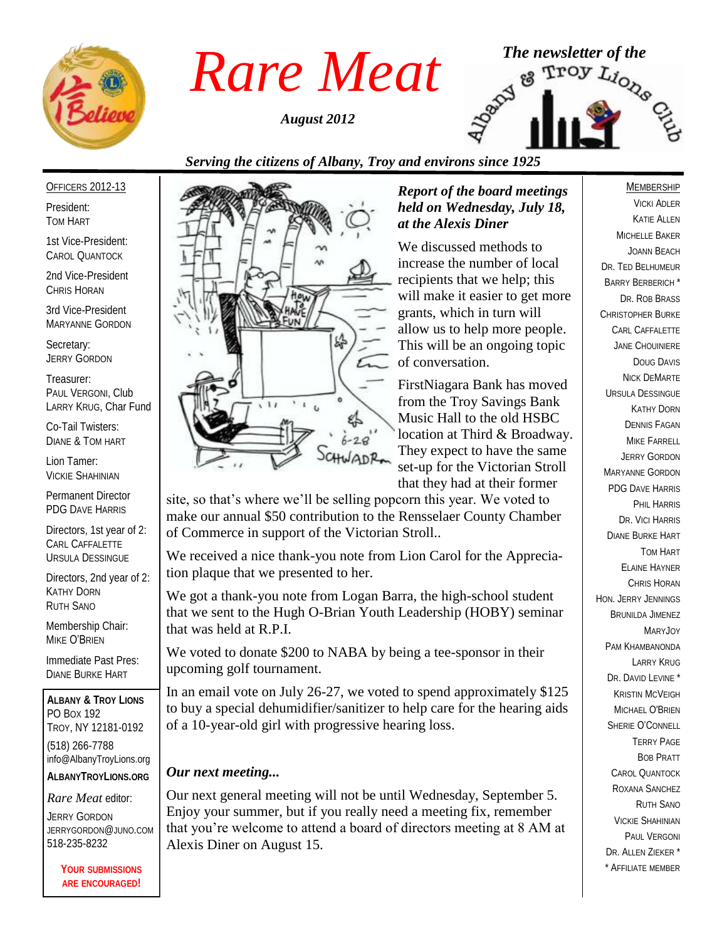

*August 2012*



## *Serving the citizens of Albany, Troy and environs since 1925*

OFFICERS 2012-13

President: TOM HART

1st Vice-President: CAROL QUANTOCK

2nd Vice-President CHRIS HORAN

3rd Vice-President MARYANNE GORDON

Secretary: JERRY GORDON

Treasurer: PAUL VERGONI, Club LARRY KRUG, Char Fund

Co-Tail Twisters: DIANE & TOM HART

Lion Tamer: VICKIE SHAHINIAN

Permanent Director PDG DAVE HARRIS

Directors, 1st year of 2: CARL CAFFALETTE URSULA DESSINGUE

Directors, 2nd year of 2: KATHY DORN RUTH SANO

Membership Chair: MIKE O'BRIEN

Immediate Past Pres: DIANE BURKE HART

**ALBANY & TROY LIONS** PO BOX 192 TROY, NY 12181-0192 (518) 266-7788 info@AlbanyTroyLions.org **ALBANYTROYLIONS.ORG**

#### *Rare Meat* editor:

JERRY GORDON JERRYGORDON@JUNO.COM 518-235-8232

> **YOUR SUBMISSIONS ARE ENCOURAGED!**



#### *Report of the board meetings held on Wednesday, July 18, at the Alexis Diner*

We discussed methods to increase the number of local recipients that we help; this will make it easier to get more grants, which in turn will allow us to help more people. This will be an ongoing topic of conversation.

FirstNiagara Bank has moved from the Troy Savings Bank Music Hall to the old HSBC location at Third & Broadway. They expect to have the same set-up for the Victorian Stroll that they had at their former

site, so that's where we'll be selling popcorn this year. We voted to make our annual \$50 contribution to the Rensselaer County Chamber of Commerce in support of the Victorian Stroll..

We received a nice thank-you note from Lion Carol for the Appreciation plaque that we presented to her.

We got a thank-you note from Logan Barra, the high-school student that we sent to the Hugh O-Brian Youth Leadership (HOBY) seminar that was held at R.P.I.

We voted to donate \$200 to NABA by being a tee-sponsor in their upcoming golf tournament.

In an email vote on July 26-27, we voted to spend approximately \$125 to buy a special dehumidifier/sanitizer to help care for the hearing aids of a 10-year-old girl with progressive hearing loss.

## *Our next meeting...*

Our next general meeting will not be until Wednesday, September 5. Enjoy your summer, but if you really need a meeting fix, remember that you're welcome to attend a board of directors meeting at 8 AM at Alexis Diner on August 15.

## MEMBERSHIP

VICKI ADLER KATIE ALLEN MICHELLE BAKER JOANN BEACH DR. TED BELHUMEUR BARRY BERBERICH \* DR. ROB BRASS CHRISTOPHER BURKE CARL CAFFALETTE JANE CHOUINIERE DOUG DAVIS NICK DEMARTE URSULA DESSINGUE KATHY DORN DENNIS FAGAN MIKE FARRELL JERRY GORDON MARYANNE GORDON PDG DAVE HARRIS PHIL HARRIS DR. VICI HARRIS DIANE BURKE HART TOM HART ELAINE HAYNER CHRIS HORAN HON. JERRY JENNINGS BRUNILDA JIMENEZ Mary **J**oy PAM KHAMBANONDA LARRY KRUG DR. DAVID LEVINE<sup>\*</sup> KRISTIN MCVEIGH MICHAEL O'BRIEN SHERIE O'CONNELL TERRY PAGE BOB PRATT CAROL QUANTOCK ROXANA SANCHEZ RUTH SANO VICKIE SHAHINIAN PAUL VERGONI DR. ALLEN 7IFKER \* \* AFFILIATE MEMBER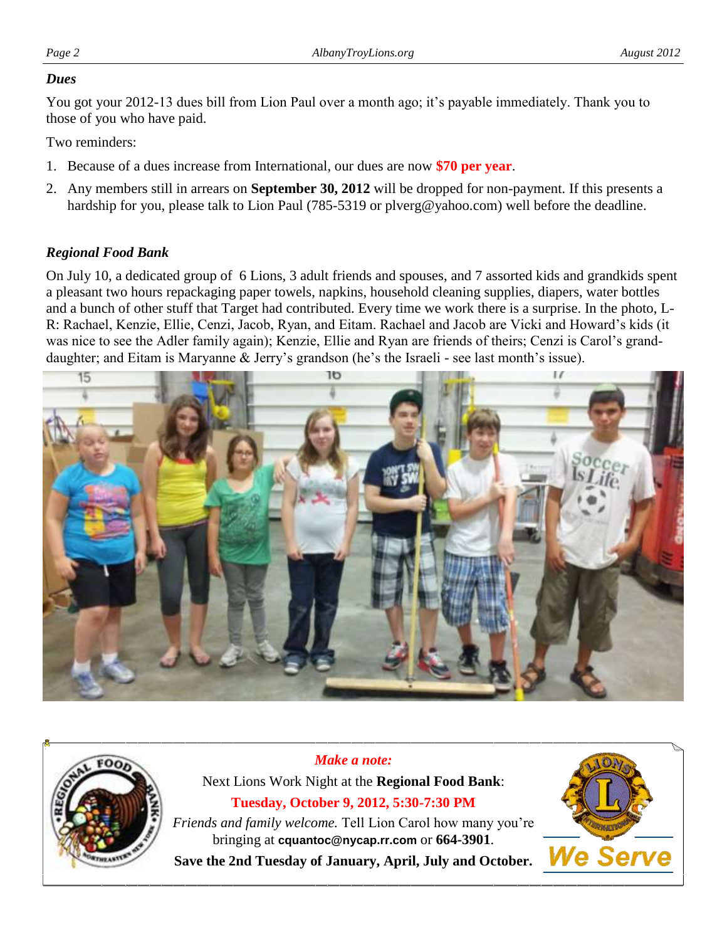#### *Dues*

You got your 2012-13 dues bill from Lion Paul over a month ago; it's payable immediately. Thank you to those of you who have paid.

Two reminders:

- 1. Because of a dues increase from International, our dues are now **\$70 per year**.
- 2. Any members still in arrears on **September 30, 2012** will be dropped for non-payment. If this presents a hardship for you, please talk to Lion Paul (785-5319 or plverg@yahoo.com) well before the deadline.

## *Regional Food Bank*

On July 10, a dedicated group of 6 Lions, 3 adult friends and spouses, and 7 assorted kids and grandkids spent a pleasant two hours repackaging paper towels, napkins, household cleaning supplies, diapers, water bottles and a bunch of other stuff that Target had contributed. Every time we work there is a surprise. In the photo, L-R: Rachael, Kenzie, Ellie, Cenzi, Jacob, Ryan, and Eitam. Rachael and Jacob are Vicki and Howard's kids (it was nice to see the Adler family again); Kenzie, Ellie and Ryan are friends of theirs; Cenzi is Carol's granddaughter; and Eitam is Maryanne & Jerry's grandson (he's the Israeli - see last month's issue).





*Make a note:* Next Lions Work Night at the **Regional Food Bank**: **Tuesday, October 9, 2012, 5:30-7:30 PM** *Friends and family welcome.* Tell Lion Carol how many you're bringing at **cquantoc@nycap.rr.com** or **664-3901**.

**Save the 2nd Tuesday of January, April, July and October.**

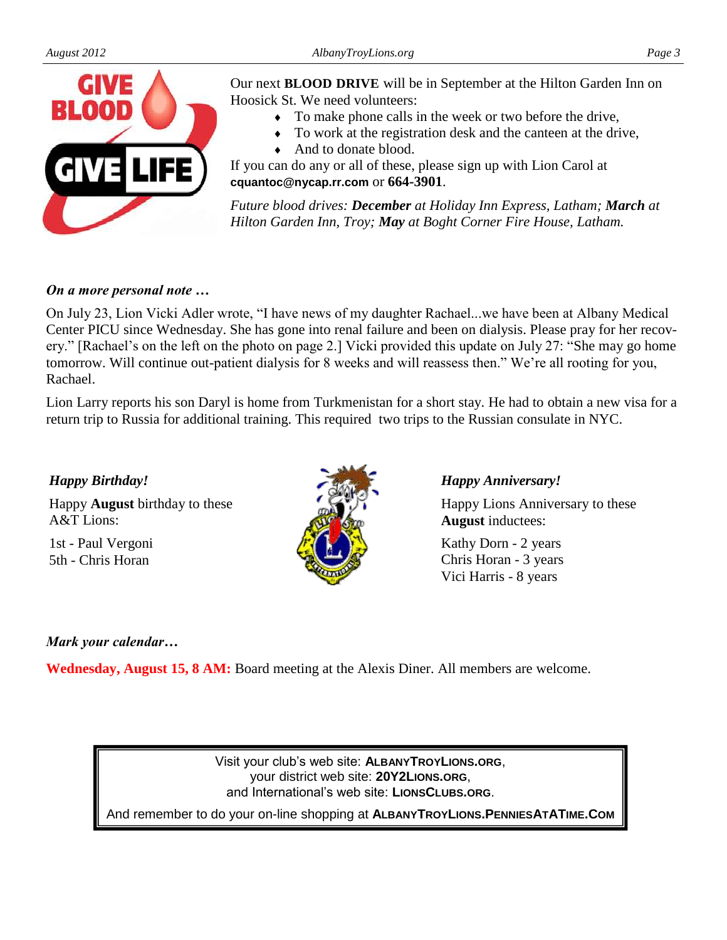

Our next **BLOOD DRIVE** will be in September at the Hilton Garden Inn on Hoosick St. We need volunteers:

- To make phone calls in the week or two before the drive,
- To work at the registration desk and the canteen at the drive,
- And to donate blood.

If you can do any or all of these, please sign up with Lion Carol at **cquantoc@nycap.rr.com** or **664-3901**.

*Future blood drives: December at Holiday Inn Express, Latham; March at Hilton Garden Inn, Troy; May at Boght Corner Fire House, Latham.* 

### *On a more personal note …*

On July 23, Lion Vicki Adler wrote, "I have news of my daughter Rachael...we have been at Albany Medical Center PICU since Wednesday. She has gone into renal failure and been on dialysis. Please pray for her recovery." [Rachael's on the left on the photo on page 2.] Vicki provided this update on July 27: "She may go home tomorrow. Will continue out-patient dialysis for 8 weeks and will reassess then." We're all rooting for you, Rachael.

Lion Larry reports his son Daryl is home from Turkmenistan for a short stay. He had to obtain a new visa for a return trip to Russia for additional training. This required two trips to the Russian consulate in NYC.

#### *Happy Birthday!*

Happy **August** birthday to these A&T Lions:

1st - Paul Vergoni 5th - Chris Horan



#### *Happy Anniversary!*

Happy Lions Anniversary to these **August** inductees:

Kathy Dorn - 2 years Chris Horan - 3 years Vici Harris - 8 years

## *Mark your calendar…*

**Wednesday, August 15, 8 AM:** Board meeting at the Alexis Diner. All members are welcome.

Visit your club's web site: **ALBANYTROYLIONS.ORG**, your district web site: **20Y2LIONS.ORG**, and International's web site: **LIONSCLUBS.ORG**.

And remember to do your on-line shopping at **ALBANYTROYLIONS.PENNIESATATIME.COM**